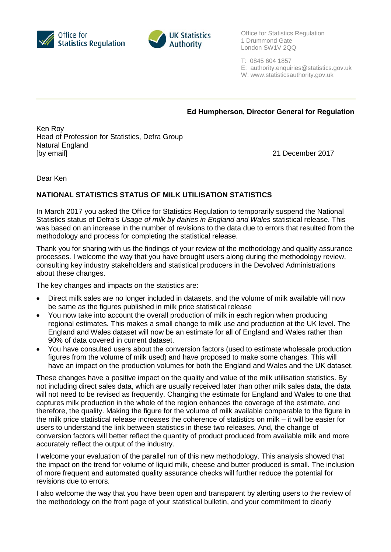



Office for Statistics Regulation 1 Drummond Gate London SW1V 2QQ

T: 0845 604 1857

- E: authority.enquiries@statistics.gov.uk
- W: www.statisticsauthority.gov.uk

## **Ed Humpherson, Director General for Regulation**

Ken Roy Head of Profession for Statistics, Defra Group Natural England [by email] 21 December 2017

Dear Ken

## **NATIONAL STATISTICS STATUS OF MILK UTILISATION STATISTICS**

In March 2017 you asked the Office for Statistics Regulation to temporarily suspend the National Statistics status of Defra's *Usage of milk by dairies in England and Wales* statistical release. This was based on an increase in the number of revisions to the data due to errors that resulted from the methodology and process for completing the statistical release.

Thank you for sharing with us the findings of your review of the methodology and quality assurance processes. I welcome the way that you have brought users along during the methodology review, consulting key industry stakeholders and statistical producers in the Devolved Administrations about these changes.

The key changes and impacts on the statistics are:

- Direct milk sales are no longer included in datasets, and the volume of milk available will now be same as the figures published in milk price statistical release
- You now take into account the overall production of milk in each region when producing regional estimates. This makes a small change to milk use and production at the UK level. The England and Wales dataset will now be an estimate for all of England and Wales rather than 90% of data covered in current dataset.
- You have consulted users about the conversion factors (used to estimate wholesale production figures from the volume of milk used) and have proposed to make some changes. This will have an impact on the production volumes for both the England and Wales and the UK dataset.

These changes have a positive impact on the quality and value of the milk utilisation statistics. By not including direct sales data, which are usually received later than other milk sales data, the data will not need to be revised as frequently. Changing the estimate for England and Wales to one that captures milk production in the whole of the region enhances the coverage of the estimate, and therefore, the quality. Making the figure for the volume of milk available comparable to the figure in the milk price statistical release increases the coherence of statistics on milk – it will be easier for users to understand the link between statistics in these two releases. And, the change of conversion factors will better reflect the quantity of product produced from available milk and more accurately reflect the output of the industry.

I welcome your evaluation of the parallel run of this new methodology. This analysis showed that the impact on the trend for volume of liquid milk, cheese and butter produced is small. The inclusion of more frequent and automated quality assurance checks will further reduce the potential for revisions due to errors.

I also welcome the way that you have been open and transparent by alerting users to the review of the methodology on the front page of your statistical bulletin, and your commitment to clearly